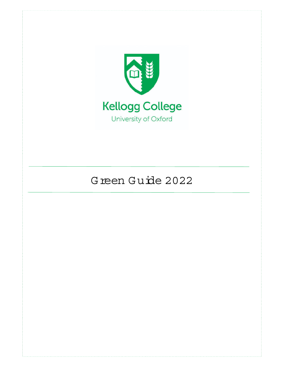

# G reen G uide 2022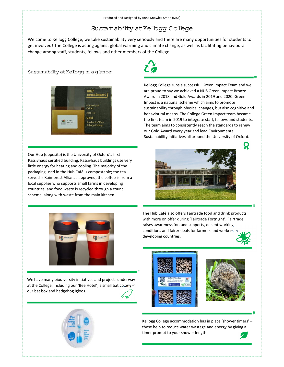## Sustainability at Kelbqq Colleqe

Welcome to Kellogg College, we take sustainability very seriously and there are many opportunities for students to get involved! The College is acting against global warming and climate change, as well as facilitating behavioural change among staff, students, fellows and other members of the College.

# ا

#### Sustainability at Kelbog in a glance:



Our Hub (opposite) is the University of Oxford's first Passivhaus certified building. Passivhaus buildings use very little energy for heating and cooling. The majority of the packaging used in the Hub Café is compostable; the tea served is Rainforest Alliance approved; the coffee is from a local supplier who supports small farms in developing countries; and food waste is recycled through a council scheme, along with waste from the main kitchen.



Kellogg College runs a successful Green Impact Team and we are proud to say we achieved a NUS Green Impact Bronze Award in 2018 and Gold Awards in 2019 and 2020. Green Impact is a national scheme which aims to promote sustainability through physical changes, but also cognitive and behavioural means. The College Green Impact team became the first team in 2019 to integrate staff, fellows and students. The team aims to consistently reach the standards to renew our Gold Award every year and lead Environmental Sustainability initiatives all around the University of Oxford.





The Hub Café also offers Fairtrade food and drink products, with more on offer during 'Fairtrade Fortnight'. Fairtrade raises awareness for, and supports, decent working conditions and fairer deals for farmers and workers in developing countries.

 $#$ 

Ř

-

-

We have many biodiversity initiatives and projects underway at the College, including our 'Bee Hotel', a small bat colony in our bat box and hedgehog igloos.



-



Kellogg College accommodation has in place 'shower timers' – these help to reduce water wastage and energy by giving a timer prompt to your shower length.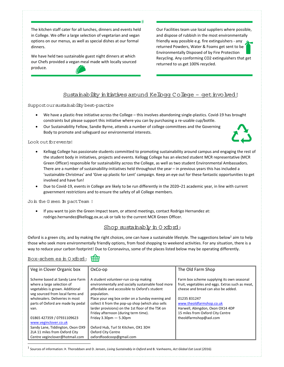The kitchen staff cater for all lunches, dinners and events held in College. We offer a large selection of vegetarian and vegan options on our menus, as well as special dishes at our formal dinners.

We have held two sustainable guest night dinners at which our Chefs provided a vegan meal made with locally sourced produce.

Our Facilities team use local suppliers where possible, and dispose of rubbish in the most environmentally friendly way possible e.g. fire extinguishers ‐ any returned Powders, Water & Foams get sent to be Environmentally Disposed of by Fire Protection Recycling. Any conforming CO2 extinguishers that get returned to us get 100% recycled.

## Sustainability initiatives around Kelbog College - get involved!

Support our sustainability best-practice

 We have a plastic‐free initiative across the College – this involves abandoning single‐plastics. Covid‐19 has brought constraints but please support this initiative where you can by purchasing a re-usable cup/bottle.

-

 Our Sustainability Fellow, Sandie Byrne, attends a number of college committees and the Governing Body to promote and safeguard our environmental interests.

Look out for events!

- Kellogg College has passionate students committed to promoting sustainability around campus and engaging the rest of the student body in initiatives, projects and events. Kellogg College has an elected student MCR representative (MCR Green Officer) responsible for sustainability across the College, as well as two student Environmental Ambassadors. There are a number of sustainability‐initiatives held throughout the year – in previous years this has included a 'sustainable Christmas' and 'Give up plastic for Lent' campaign. Keep an eye out for these fantastic opportunities to get involved and have fun!
- Due to Covid-19, events in College are likely to be run differently in the 2020–21 academic year, in line with current government restrictions and to ensure the safety of all College members.

Join the G reen Im pactTeam !

 If you want to join the Green Impact team, or attend meetings, contact Rodrigo Hernandez at: rodrigo.hernandez@kellogg.ox.ac.uk or talk to the current MCR Green Officer.

## Shop sustainably in  $0$  xford:

Oxford is a green city, and by making the right choices, one can have a sustainable lifestyle. The suggestions below<sup>1</sup> aim to help those who seek more environmentally friendly options, from food shopping to weekend activities. For any situation, there is a way to reduce your carbon footprint! Due to Coronavirus, some of the places listed below may be operating differently.

### Box-schem es in  $0$  xford:  $\overrightarrow{HH}$

| Veg in Clover Organic box                                                                                                            | OxCo-op                                                                                                                                                    | The Old Farm Shop                                                                                                                     |
|--------------------------------------------------------------------------------------------------------------------------------------|------------------------------------------------------------------------------------------------------------------------------------------------------------|---------------------------------------------------------------------------------------------------------------------------------------|
| Scheme based at Sandy Lane Farm<br>where a large selection of<br>vegetables is grown. Additional<br>veg sourced from local farms and | A student volunteer-run co-op making<br>environmentally and socially sustainable food more<br>affordable and accessible to Oxford's student<br>population. | Farm box scheme supplying its own seasonal<br>fruit, vegetables and eggs. Extras such as meat,<br>cheese and bread can also be added. |
| wholesalers. Deliveries in most                                                                                                      | Place your veg box order on a Sunday evening and                                                                                                           | 01235 831247                                                                                                                          |
| parts of Oxford are made by pedal                                                                                                    | collect it from the pop-up shop (which also sells                                                                                                          | www.theoldfarmshop.co.uk                                                                                                              |
| van.                                                                                                                                 | larder provisions) on the 1st floor of the TSK on                                                                                                          | Harwell, Abingdon, Oxon OX14 4DP                                                                                                      |
|                                                                                                                                      | Friday afternoon (during term time).                                                                                                                       | 15 miles from Oxford City Centre                                                                                                      |
| 01865 427359 / 07931109623                                                                                                           | Friday $3.30$ pm $-5.30$ pm                                                                                                                                | theoldfarmshop@aol.com                                                                                                                |
| www.veginclover.co.uk                                                                                                                |                                                                                                                                                            |                                                                                                                                       |
| Sandy Lane, Tiddington, Oxon OX9                                                                                                     | Oxford Hub, Turl St Kitchen, OX1 3DH                                                                                                                       |                                                                                                                                       |
| 2LA 11 miles from Oxford City                                                                                                        | Oxford City Centre                                                                                                                                         |                                                                                                                                       |
| Centre veginclover@hotmail.com                                                                                                       | oxfordfoodcoop@gmail.com                                                                                                                                   |                                                                                                                                       |

<sup>1</sup> Sources of information: Þ. Thoroddsen and D. Jensen, *Living Sustainably in Oxford* and B. Vanheems, *Act Global Eat Local (2016).*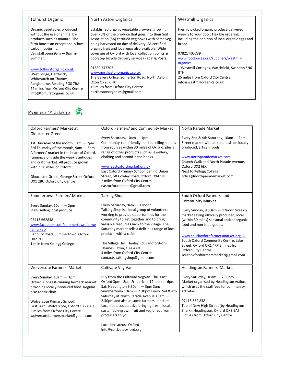#### Tolhurst Organic

Organic vegetables produced without the use of animal by‐ products such as manure. The farm boasts an exceptionally low carbon footprint. Veg stall open 9am — 9pm in Summer.

#### www.tolhurstorganic.co.uk

West Lodge, Hardwick, Whitchurch on Thames, Pangbourne, Reading RG8 7RA 24 miles from Oxford City Centre info@tolhurstorganic.co.uk

#### North Aston Organics

Established organic vegetable growers, growing over 70% of the produce that goes into their Soil Association (SA) certified veg boxes with some veg being harvested on day of delivery. SA certified organic fruit and local eggs also available. Wide coverage of Oxford with local collection points & doorstep bicycle delivery service (Pedal & Post).

#### 01869 347702

www.northastonorganics.co.uk The Bakery Office, Somerton Road, North Aston, Oxon OX25 6HX 16 miles from Oxford City Centre northastonorganics@gmail.com

#### Westmill Organics

Freshly picked organic produce delivered weekly to your door. Flexible ordering, including the addition of local organic eggs and bread.

#### 07821 403739

www.foodboxes.org/suppliers/westmill‐ **organics** 1 Westmill Cottages, Watchfield, Swindon SN6 8TH 25 miles from Oxford City Centre info@westmillorganics.co.uk



| Oxford Farmers' Market at<br><b>Gloucester Green</b><br>1st Thursday of the month, 9am - 2pm<br>3rd Thursday of the month, 9am - 3pm<br>A farmers' market in the heart of Oxford,<br>running alongside the weekly antiques<br>and craft market. All produce grown                                                            | Oxford Farmers' and Community Market<br>Every Saturday, 10am - 1pm<br>Community-run, friendly market selling staples<br>from sources within 30 miles of Oxford, plus a<br>range of other products such as jewellery,<br>clothing and second-hand books.                                                                                                                                                                                                         | North Parade Market<br>Every 2nd & 4th Saturday, 10am - 2pm<br>Street market with an emphasis on locally<br>produced, artisan foods.<br>www.northparademarket.com<br>Church Walk and North Parade Avenue,                                                                                                                                                                                          |
|------------------------------------------------------------------------------------------------------------------------------------------------------------------------------------------------------------------------------------------------------------------------------------------------------------------------------|-----------------------------------------------------------------------------------------------------------------------------------------------------------------------------------------------------------------------------------------------------------------------------------------------------------------------------------------------------------------------------------------------------------------------------------------------------------------|----------------------------------------------------------------------------------------------------------------------------------------------------------------------------------------------------------------------------------------------------------------------------------------------------------------------------------------------------------------------------------------------------|
| within 30 miles of Oxford.<br>Gloucester Green, George Street Oxford<br>OX1 2BU Oxford City Centre                                                                                                                                                                                                                           | www.eastoxfordmarket.org.uk<br>East Oxford Primary School, behind Union<br>Street, off Cowley Road, Oxford OX4 1JP<br>2 miles from Oxford City Centre<br>eastoxfordmarket@gmail.com                                                                                                                                                                                                                                                                             | Oxford OX2 6LX<br>Next to Kellogg College<br>office@northparademarket.com                                                                                                                                                                                                                                                                                                                          |
| Summertown Farmers' Market<br>Every Sunday, 10am - 2pm<br>Stalls selling local produce.<br>07413 662838<br>www.facebook.com/summertown.farme<br>rsmarket/<br>Banbury Road, Summertown, Oxford<br>OX2 7DE<br>1 mile from Kellogg College                                                                                      | <b>Talking Shop</b><br>Every Saturday, 9am - 12noon<br>Talking Shop is a local group of volunteers<br>working to provide opportunities for the<br>community to get together and to bring<br>valuable resources back to the village. The<br>Saturday market sells a delicious range of local<br>produce, with a café.<br>The Village Hall, Henley Rd, Sandford-on-<br>Thames, Oxon, OX4 4YN<br>4 miles from Oxford City Centre<br>contacts.talkingshop@gmail.com | South Oxford Farmers' and<br><b>Community Market</b><br>Every Sunday, 9.30am - 12noon Weekly<br>market selling ethically produced, local<br>(within 30 miles) seasonal and/or organic<br>food and non-food goods.<br>www.southoxfordfarmersmarket.org.uk<br>South Oxford Community Centre, Lake<br>Street, Oxford OX1 4RP 3 miles from<br>Oxford City Centre<br>southoxfordfarmersmarket@gmail.com |
| <b>Wolvercote Farmers' Market</b><br>Every Sunday, 10am - 1pm<br>Oxford's longest-running farmers' market<br>providing locally-produced food. Regular<br>bike repair clinic.<br>Wolvercote Primary School,<br>First Turn, Wolvercote, Oxford OX2 8AQ<br>3 miles from Oxford City Centre<br>wolvercotefarmersmarket@gmail.com | Cultivate Veg Van<br>Buy from the Cultivate VegVan: Thu: East<br>Oxford 3pm - 8pm Fri: Jericho 12noon - 6pm<br>Sat: Headington 9.30am - 3pm Sun:<br>Summertown 10am - 2.30pm Every 2nd & 4th<br>Saturday at North Parade Avenue 10am -<br>2.30pm and also at some farmers' markets.<br>Local food cooperative bringing fresh, local,<br>sustainably-grown fruit and veg direct from<br>producers to you.<br>Locations across Oxford<br>info@cultivateoxford.org | Headington Farmers' Market<br>Every Saturday, 10am - 2.30pm<br>Market organised by Headington Action,<br>which uses the stall fees for community<br>activities.<br>07413 662 838<br>Top of New High Street (by Headington<br>Shark), Headington, Oxford OX3 9AJ<br>3 miles from Oxford City Centre                                                                                                 |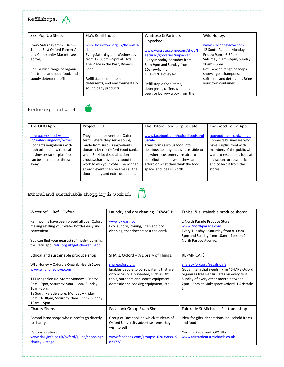| Refillshops: |  |
|--------------|--|
|--------------|--|

| SESI Pop-Up Shop:               | Flo's Refill Shop:                 | Waitrose & Partners              | Wild Honey:                    |
|---------------------------------|------------------------------------|----------------------------------|--------------------------------|
|                                 |                                    |                                  |                                |
| Every Saturday from 10am-       | www.flosoxford.org.uk/flos-refill- | Unpacked:                        | www.wildhoneylove.com          |
|                                 |                                    |                                  |                                |
| 1pm at East Oxford Farmers'     | shop                               | www.waitrose.com/ecom/shop/f     | 12 South Parade: Monday-       |
| and Community Market (see       | Every Saturday and Wednesday       | eatured/groceries/unpacked       | Friday: 9am-6.30pm,            |
| above).                         | from 12.30pm-5pm at Flo's          | Every Monday-Saturday from       | Saturday: 9am-6pm, Sunday:     |
|                                 | The Place in the Park, Rymers      | 8am-9pm and Sunday from          | $10am - 5pm$                   |
| Refill a wide range of organic, | Lane.                              | 10am-4pm on                      | Refill a wide range of soaps,  |
| fair-trade, and local food, and |                                    | 110-120 Botley Rd.               | shower gel, shampoos,          |
| supply detergent refills        | Refill staple food items,          |                                  | softeners and detergent. Bring |
|                                 | detergents, and environmentally    | Refill staple food items,        | your own container.            |
|                                 | sound baby products.               | detergents, coffee, wine and     |                                |
|                                 |                                    | beer, or borrow a box from them. |                                |

## Reducing food w aste:



| The OLIO App:                                                                                                                                                                   | Project SOUP:                                                                                                                                                                                                                                                                                                              | The Oxford Food Surplus Café:                                                                                                                                                                                                                                  | Too Good To Go App:                                                                                                                                                                                         |
|---------------------------------------------------------------------------------------------------------------------------------------------------------------------------------|----------------------------------------------------------------------------------------------------------------------------------------------------------------------------------------------------------------------------------------------------------------------------------------------------------------------------|----------------------------------------------------------------------------------------------------------------------------------------------------------------------------------------------------------------------------------------------------------------|-------------------------------------------------------------------------------------------------------------------------------------------------------------------------------------------------------------|
| olioex.com/food-waste-<br>in/united-kingdom/oxford<br>Connects neighbours with<br>each other and with local<br>businesses so surplus food<br>can be shared, not thrown<br>away. | They hold one event per Oxford<br>term, where they serve soups,<br>made from surplus ingredients<br>donated by the Oxford Food Bank,<br>while 3-4 local social action<br>groups/charities speak about their<br>work to win your vote. The winner<br>at each event then receives all the<br>door money and extra donations. | www.facebook.com/oxfordfoodsurpl<br>uscafe<br>Transforms surplus food into<br>delicious healthy meals accessible to<br>all, where customers are able to<br>contribute either what they can<br>afford or what they think the food,<br>space, and idea is worth. | toogoodtogo.co.uk/en-gb<br>Connects businesses who<br>have surplus food with<br>members of the public who<br>want to rescue this food at<br>a discount or retail price<br>and collect it from the<br>stores |

## $E$ thicaland sustainable shopping in 0 xford:



| Water refill: Refill Oxford:                                                                                                                                                                                                                                          | Laundry and dry cleaning: OXWASH:                                                                                                                                                   | Ethical & sustainable produce shops:                                                                                                                                                                              |
|-----------------------------------------------------------------------------------------------------------------------------------------------------------------------------------------------------------------------------------------------------------------------|-------------------------------------------------------------------------------------------------------------------------------------------------------------------------------------|-------------------------------------------------------------------------------------------------------------------------------------------------------------------------------------------------------------------|
| Refill points have been placed all over Oxford,<br>making refilling your water bottles easy and<br>convenient.<br>You can find your nearest refill point by using<br>the Refill app: refill.org.uk/get-the-refill-app                                                 | www.oxwash.com<br>Eco laundry, ironing, linen and dry<br>cleaning, that doesn't cost the earth.                                                                                     | 2 North Parade Produce Store:<br>www.2northparade.com<br>Every Tuesday-Saturday from 8.30am-<br>5pm and Sunday from 10am-1pm on 2<br>North Parade Avenue.                                                         |
| Ethical and sustainable produce shop                                                                                                                                                                                                                                  | SHARE Oxford - A Library of Things:                                                                                                                                                 | REPAIR CAFÉ:                                                                                                                                                                                                      |
| Wild Honey - Oxford's Organic Health Store:<br>www.wildhoneylove.com<br>111 Magdalen Rd. Store: Monday-Friday:<br>9am-7pm, Saturday: 9am-6pm, Sunday:<br>10am-5pm.<br>12 South Parade Store: Monday-Friday:<br>9am-6.30pm, Saturday: 9am-6pm, Sunday:<br>$10am - 5pm$ | shareoxford.org<br>Enables people to borrow items that are<br>only occasionally needed, such as DIY<br>tools, outdoors and sports equipment,<br>domestic and cooking equipment, etc | shareoxford.org/repair-cafe<br>Got an item that needs fixing? SHARE Oxford<br>organizes free Repair Cafés on every first<br>Sunday of every other month between<br>2pm-5pm at Makespace Oxford, 1 Aristotle<br>Ln |
| <b>Charity Shops</b>                                                                                                                                                                                                                                                  | Facebook Group Swap Shop                                                                                                                                                            | Fairtrade St Michael's Fairtrade shop                                                                                                                                                                             |
| Second-hand shops whose profits go directly<br>to charity                                                                                                                                                                                                             | Group of Facebook on which students of<br>Oxford University advertise items they<br>wish to sell                                                                                    | Ideal for gifts, decorations, household items,<br>and food                                                                                                                                                        |
| Various locations:<br>www.dailyinfo.co.uk/oxford/guide/shopping/<br>charity-vintage                                                                                                                                                                                   | www.facebook.com/groups/16203589915<br>82177/                                                                                                                                       | Cornmarket Street, OX1 3EY<br>www.fairtradeatstmichaels.co.uk                                                                                                                                                     |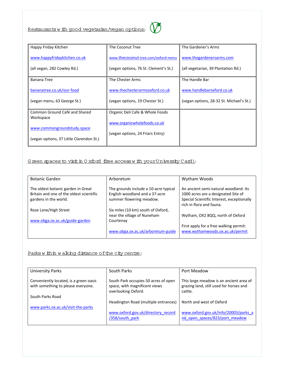

| Happy Friday Kitchen                       | The Coconut Tree                      | The Gardener's Arms                      |
|--------------------------------------------|---------------------------------------|------------------------------------------|
| www.happyfridaykitchen.co.uk               | www.thecoconut-tree.com/oxford-menu   | www.thegardenersarms.com                 |
| (all vegan, 282 Cowley Rd.)                | (vegan options, 76 St. Clement's St.) | (all vegetarian, 39 Plantation Rd.)      |
| <b>Banana Tree</b>                         | The Chester Arms                      | The Handle Bar                           |
| bananatree.co.uk/our-food                  | www.thechesterarmsoxford.co.uk        | www.handlebaroxford.co.uk                |
| (vegan menu, 63 George St.)                | (vegan options, 19 Chester St.)       | (vegan options, 28-32 St. Michael's St.) |
| Common Ground Café and Shared<br>Workspace | Organic Deli Cafe & Whole Foods       |                                          |
|                                            | www.organicwholefoods.co.uk           |                                          |
| www.commongroundstudy.space                | (vegan options, 24 Friars Entry)      |                                          |
| (vegan options, 37 Little Clarendon St.)   |                                       |                                          |

## G reen spaces to visit in 0 xford (free access w ith your University C ard):

| <b>Botanic Garden</b>                    | Arboretum                             | Wytham Woods                                                           |
|------------------------------------------|---------------------------------------|------------------------------------------------------------------------|
| The oldest botanic garden in Great       | The grounds include a 10-acre typical | An ancient semi-natural woodland. Its                                  |
| Britain and one of the oldest scientific | English woodland and a 37-acre        | 1000 acres are a designated Site of                                    |
| gardens in the world.                    | summer flowering meadow.              | Special Scientific Interest, exceptionally<br>rich in flora and fauna. |
| Rose Lane/High Street                    | Six miles (10 km) south of Oxford,    |                                                                        |
|                                          | near the village of Nuneham           | Wytham, OX2 8QQ, north of Oxford                                       |
| www.obga.ox.ac.uk/guide-garden           | Courtenay                             |                                                                        |
|                                          |                                       | First apply for a free walking permit:                                 |
|                                          | www.obga.ox.ac.uk/arboretum-guide     | www.wythamwoods.ox.ac.uk/permit                                        |

## Parks w ithin w alking distance of the city centre:

| <b>University Parks</b>                                                      | South Parks                                                                                  | Port Meadow                                                                                   |
|------------------------------------------------------------------------------|----------------------------------------------------------------------------------------------|-----------------------------------------------------------------------------------------------|
| Conveniently located, is a green oasis<br>with something to please everyone. | South Park occupies 50 acres of open<br>space, with magnificent views<br>overlooking Oxford. | This large meadow is an ancient area of<br>grazing land, still used for horses and<br>cattle. |
| South Parks Road                                                             |                                                                                              |                                                                                               |
|                                                                              | Headington Road (multiple entrances)                                                         | North and west of Oxford                                                                      |
| www.parks.ox.ac.uk/visit-the-parks                                           |                                                                                              |                                                                                               |
|                                                                              | www.oxford.gov.uk/directory record<br>/358/south park                                        | www.oxford.gov.uk/info/20003/parks a<br>nd open_spaces/823/port_meadow                        |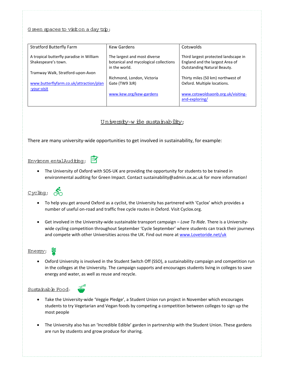#### G reen spaces to visition a day trip:

| <b>Stratford Butterfly Farm</b>                                 | <b>Kew Gardens</b>                                                                     | Cotswolds                                                                                              |
|-----------------------------------------------------------------|----------------------------------------------------------------------------------------|--------------------------------------------------------------------------------------------------------|
| A tropical butterfly paradise in William<br>Shakespeare's town. | The largest and most diverse<br>botanical and mycological collections<br>in the world. | Third largest protected landscape in<br>England and the largest Area of<br>Outstanding Natural Beauty. |
| Tramway Walk, Stratford-upon-Avon                               |                                                                                        |                                                                                                        |
|                                                                 | Richmond, London, Victoria                                                             | Thirty miles (50 km) northwest of                                                                      |
| www.butterflyfarm.co.uk/attraction/plan                         | Gate (TW9 3JR)                                                                         | Oxford. Multiple locations.                                                                            |
| -your-visit                                                     |                                                                                        |                                                                                                        |
|                                                                 | www.kew.org/kew-gardens                                                                | www.cotswoldsaonb.org.uk/visiting-<br>and-exploring/                                                   |

University-wide sustainability:

There are many university‐wide opportunities to get involved in sustainability, for example:

#### $\mathbb{F}$ Environm entalAuditing:

● The University of Oxford with SOS-UK are providing the opportunity for students to be trained in environmental auditing for Green Impact. Contact sustainability@admin.ox.ac.uk for more information!



- To help you get around Oxford as a cyclist, the University has partnered with 'Cyclox' which provides a number of useful on‐road and traffic free cycle routes in Oxford. Visit Cyclox.org.
- Get involved in the University‐wide sustainable transport campaign *Love To Ride*. There is a University‐ wide cycling competition throughout September 'Cycle September' where students can track their journeys and compete with other Universities across the UK. Find out more at www.Lovetoride.net/uk

## Energy:

 Oxford University is involved in the Student Switch Off (SSO), a sustainability campaign and competition run in the colleges at the University. The campaign supports and encourages students living in colleges to save energy and water, as well as reuse and recycle.

#### Sustainable Food:



- Take the University-wide 'Veggie Pledge', a Student Union run project in November which encourages students to try Vegetarian and Vegan foods by competing a competition between colleges to sign up the most people
- The University also has an 'Incredible Edible' garden in partnership with the Student Union. These gardens are run by students and grow produce for sharing.